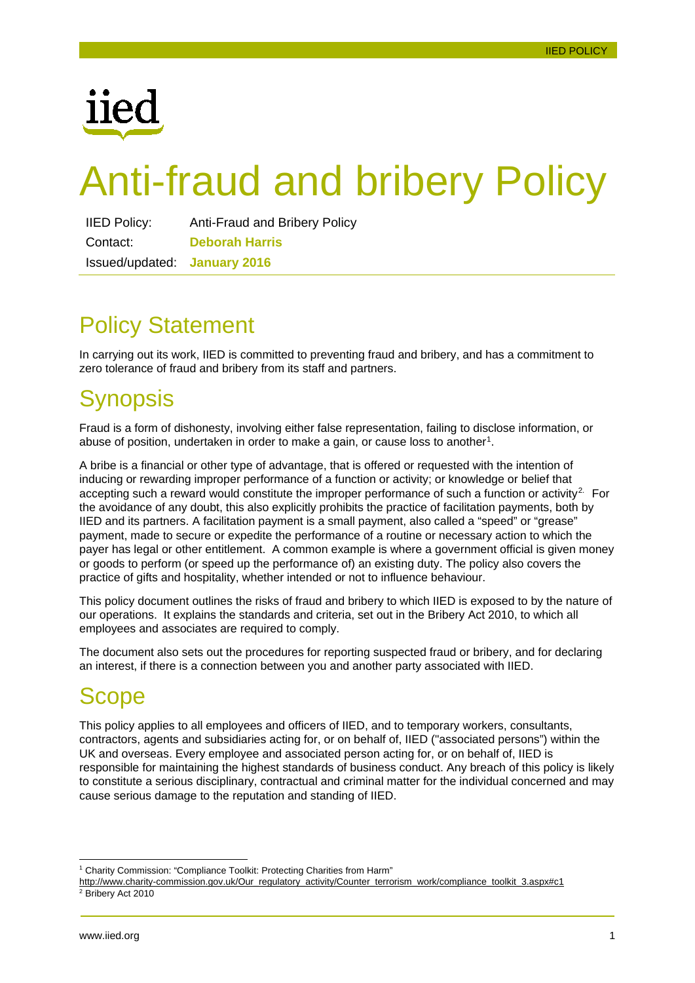

# Anti-fraud and bribery Policy

| <b>IIED Policy:</b>                 | <b>Anti-Fraud and Bribery Policy</b> |
|-------------------------------------|--------------------------------------|
| Contact:                            | <b>Deborah Harris</b>                |
| <b>Issued/updated: January 2016</b> |                                      |

# <span id="page-0-2"></span>Policy Statement

In carrying out its work, IIED is committed to preventing fraud and bribery, and has a commitment to zero tolerance of fraud and bribery from its staff and partners.

# <span id="page-0-3"></span>Synopsis

Fraud is a form of dishonesty, involving either false representation, failing to disclose information, or abuse of position, undertaken in order to make a gain, or cause loss to another<sup>1</sup>.

A bribe is a financial or other type of advantage, that is offered or requested with the intention of inducing or rewarding improper performance of a function or activity; or knowledge or belief that accepting such a reward would constitute the improper performance of such a function or activity<sup>[2](#page-0-1).</sup> For the avoidance of any doubt, this also explicitly prohibits the practice of facilitation payments, both by IIED and its partners. A facilitation payment is a small payment, also called a "speed" or "grease" payment, made to secure or expedite the performance of a routine or necessary action to which the payer has legal or other entitlement. A common example is where a government official is given money or goods to perform (or speed up the performance of) an existing duty. The policy also covers the practice of gifts and hospitality, whether intended or not to influence behaviour.

This policy document outlines the risks of fraud and bribery to which IIED is exposed to by the nature of our operations. It explains the standards and criteria, set out in the Bribery Act 2010, to which all employees and associates are required to comply.

The document also sets out the procedures for reporting suspected fraud or bribery, and for declaring an interest, if there is a connection between you and another party associated with IIED.

# <span id="page-0-4"></span>**Scope**

This policy applies to all employees and officers of IIED, and to temporary workers, consultants, contractors, agents and subsidiaries acting for, or on behalf of, IIED ("associated persons") within the UK and overseas. Every employee and associated person acting for, or on behalf of, IIED is responsible for maintaining the highest standards of business conduct. Any breach of this policy is likely to constitute a serious disciplinary, contractual and criminal matter for the individual concerned and may cause serious damage to the reputation and standing of IIED.

<span id="page-0-0"></span><sup>&</sup>lt;sup>1</sup> Charity Commission: "Compliance Toolkit: Protecting Charities from Harm"

<span id="page-0-1"></span>[http://www.charity-commission.gov.uk/Our\\_regulatory\\_activity/Counter\\_terrorism\\_work/compliance\\_toolkit\\_3.aspx#c1](http://www.charity-commission.gov.uk/Our_regulatory_activity/Counter_terrorism_work/compliance_toolkit_3.aspx#c1) <sup>2</sup> Bribery Act 2010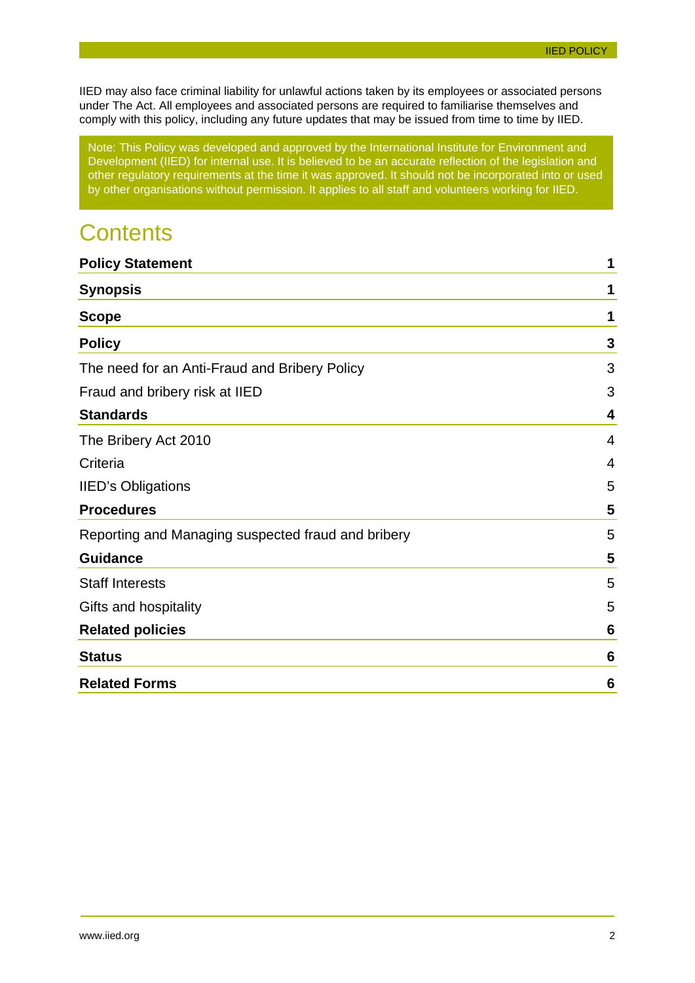IIED may also face criminal liability for unlawful actions taken by its employees or associated persons under The Act. All employees and associated persons are required to familiarise themselves and comply with this policy, including any future updates that may be issued from time to time by IIED.

Note: This Policy was developed and approved by the International Institute for Environment and Development (IIED) for internal use. It is believed to be an accurate reflection of the legislation and other regulatory requirements at the time it was approved. It should not be incorporated into or used by other organisations without permission. It applies to all staff and volunteers working for IIED.

# **Contents**

| <b>Policy Statement</b>                            | 1              |
|----------------------------------------------------|----------------|
| <b>Synopsis</b>                                    | 1              |
| <b>Scope</b>                                       | 1              |
| <b>Policy</b>                                      | 3              |
| The need for an Anti-Fraud and Bribery Policy      | 3              |
| Fraud and bribery risk at IIED                     | 3              |
| <b>Standards</b>                                   | 4              |
| The Bribery Act 2010                               | 4              |
| Criteria                                           | $\overline{4}$ |
| <b>IIED's Obligations</b>                          | 5              |
| <b>Procedures</b>                                  | 5              |
| Reporting and Managing suspected fraud and bribery | 5              |
| <b>Guidance</b>                                    | 5              |
| <b>Staff Interests</b>                             | 5              |
| Gifts and hospitality                              | 5              |
| <b>Related policies</b>                            | 6              |
| <b>Status</b>                                      | 6              |
| <b>Related Forms</b>                               | 6              |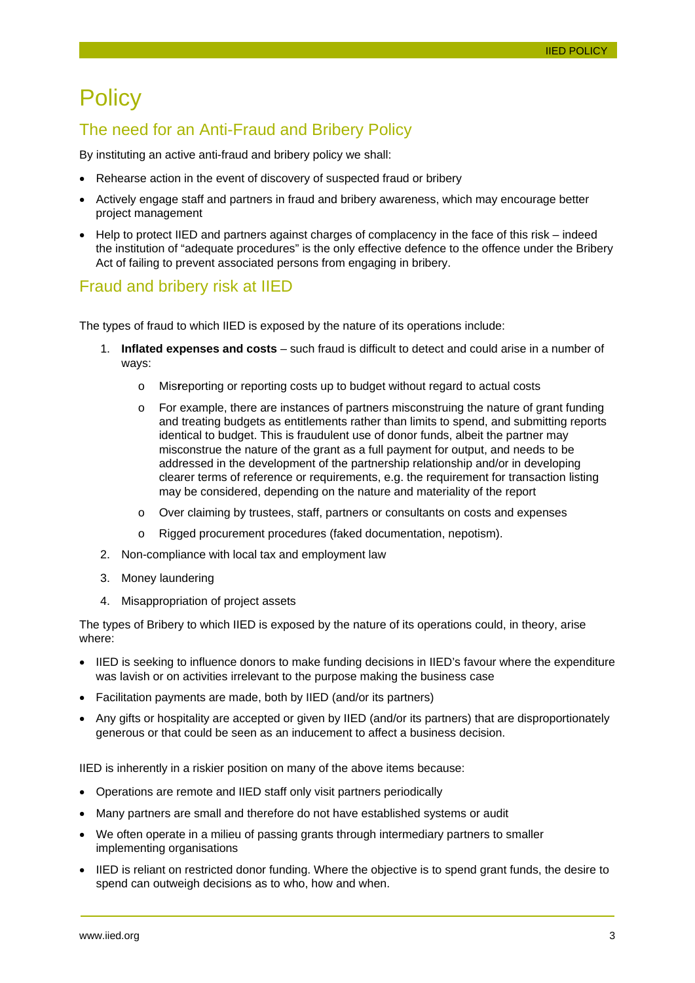# <span id="page-2-0"></span>**Policy**

#### <span id="page-2-1"></span>The need for an Anti-Fraud and Bribery Policy

By instituting an active anti-fraud and bribery policy we shall:

- Rehearse action in the event of discovery of suspected fraud or bribery
- Actively engage staff and partners in fraud and bribery awareness, which may encourage better project management
- Help to protect IIED and partners against charges of complacency in the face of this risk indeed the institution of "adequate procedures" is the only effective defence to the offence under the Bribery Act of failing to prevent associated persons from engaging in bribery.

#### <span id="page-2-2"></span>Fraud and bribery risk at IIED

The types of fraud to which IIED is exposed by the nature of its operations include:

- 1. **Inflated expenses and costs**  such fraud is difficult to detect and could arise in a number of ways:
	- o Mis**r**eporting or reporting costs up to budget without regard to actual costs
	- $\circ$  For example, there are instances of partners misconstruing the nature of grant funding and treating budgets as entitlements rather than limits to spend, and submitting reports identical to budget. This is fraudulent use of donor funds, albeit the partner may misconstrue the nature of the grant as a full payment for output, and needs to be addressed in the development of the partnership relationship and/or in developing clearer terms of reference or requirements, e.g. the requirement for transaction listing may be considered, depending on the nature and materiality of the report
	- o Over claiming by trustees, staff, partners or consultants on costs and expenses
	- Rigged procurement procedures (faked documentation, nepotism).
- 2. Non-compliance with local tax and employment law
- 3. Money laundering
- 4. Misappropriation of project assets

The types of Bribery to which IIED is exposed by the nature of its operations could, in theory, arise where:

- IIED is seeking to influence donors to make funding decisions in IIED's favour where the expenditure was lavish or on activities irrelevant to the purpose making the business case
- Facilitation payments are made, both by IIED (and/or its partners)
- Any gifts or hospitality are accepted or given by IIED (and/or its partners) that are disproportionately generous or that could be seen as an inducement to affect a business decision.

IIED is inherently in a riskier position on many of the above items because:

- Operations are remote and IIED staff only visit partners periodically
- Many partners are small and therefore do not have established systems or audit
- We often operate in a milieu of passing grants through intermediary partners to smaller implementing organisations
- IIED is reliant on restricted donor funding. Where the objective is to spend grant funds, the desire to spend can outweigh decisions as to who, how and when.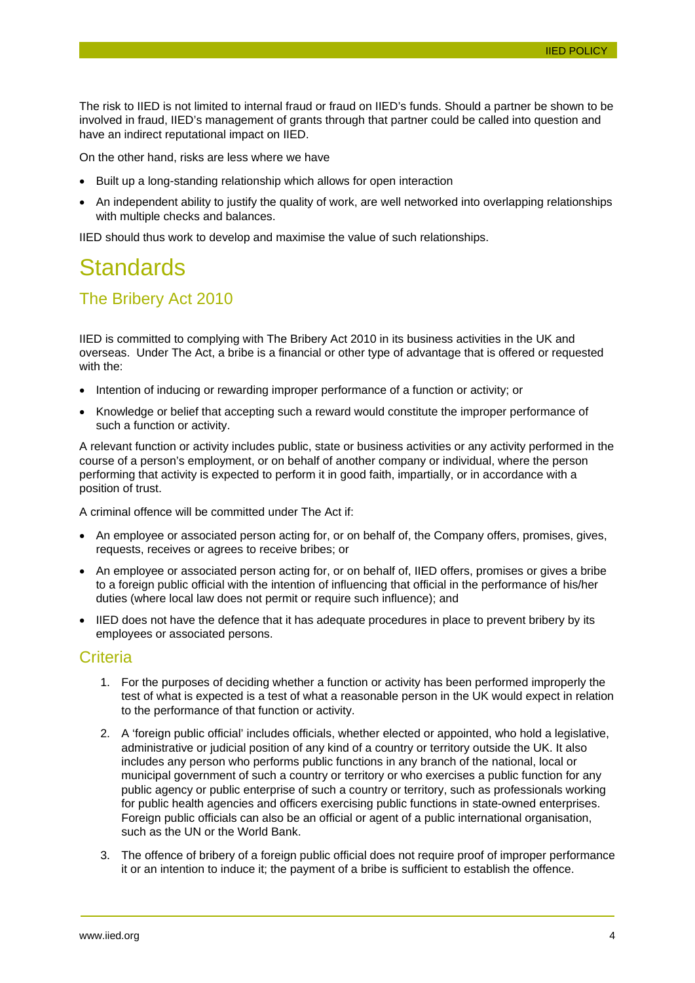The risk to IIED is not limited to internal fraud or fraud on IIED's funds. Should a partner be shown to be involved in fraud, IIED's management of grants through that partner could be called into question and have an indirect reputational impact on IIED.

On the other hand, risks are less where we have

- Built up a long-standing relationship which allows for open interaction
- An independent ability to justify the quality of work, are well networked into overlapping relationships with multiple checks and balances.

IIED should thus work to develop and maximise the value of such relationships.

### <span id="page-3-0"></span>**Standards**

#### <span id="page-3-1"></span>The Bribery Act 2010

IIED is committed to complying with The Bribery Act 2010 in its business activities in the UK and overseas. Under The Act, a bribe is a financial or other type of advantage that is offered or requested with the:

- Intention of inducing or rewarding improper performance of a function or activity; or
- Knowledge or belief that accepting such a reward would constitute the improper performance of such a function or activity.

A relevant function or activity includes public, state or business activities or any activity performed in the course of a person's employment, or on behalf of another company or individual, where the person performing that activity is expected to perform it in good faith, impartially, or in accordance with a position of trust.

A criminal offence will be committed under The Act if:

- An employee or associated person acting for, or on behalf of, the Company offers, promises, gives, requests, receives or agrees to receive bribes; or
- An employee or associated person acting for, or on behalf of, IIED offers, promises or gives a bribe to a foreign public official with the intention of influencing that official in the performance of his/her duties (where local law does not permit or require such influence); and
- IIED does not have the defence that it has adequate procedures in place to prevent bribery by its employees or associated persons.

#### <span id="page-3-2"></span>**Criteria**

- 1. For the purposes of deciding whether a function or activity has been performed improperly the test of what is expected is a test of what a reasonable person in the UK would expect in relation to the performance of that function or activity.
- 2. A 'foreign public official' includes officials, whether elected or appointed, who hold a legislative, administrative or judicial position of any kind of a country or territory outside the UK. It also includes any person who performs public functions in any branch of the national, local or municipal government of such a country or territory or who exercises a public function for any public agency or public enterprise of such a country or territory, such as professionals working for public health agencies and officers exercising public functions in state-owned enterprises. Foreign public officials can also be an official or agent of a public international organisation, such as the UN or the World Bank.
- 3. The offence of bribery of a foreign public official does not require proof of improper performance it or an intention to induce it; the payment of a bribe is sufficient to establish the offence.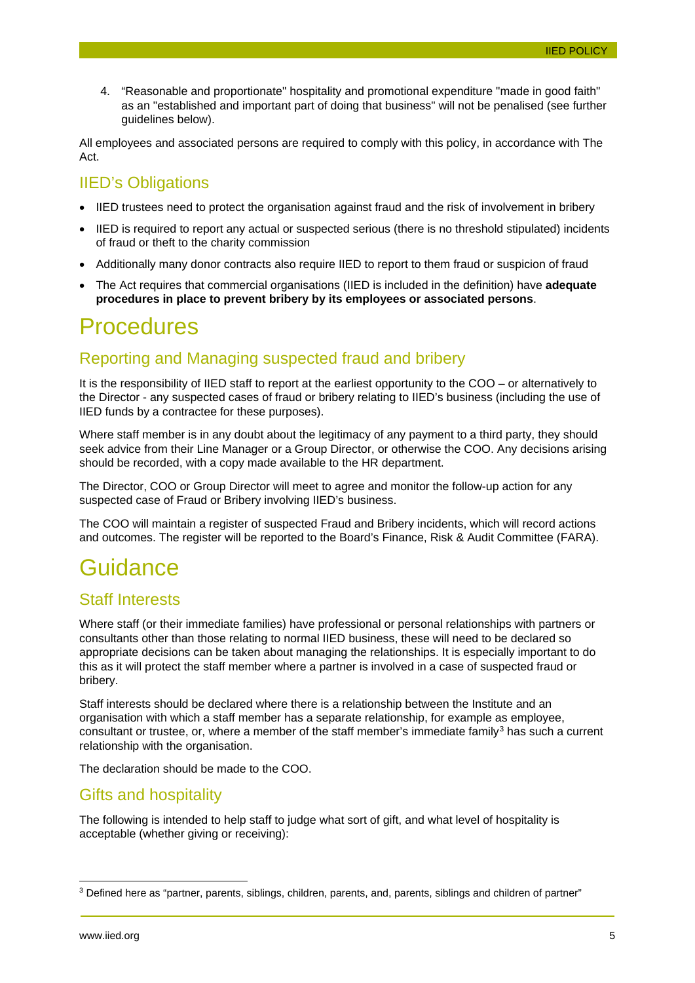4. "Reasonable and proportionate" hospitality and promotional expenditure "made in good faith" as an "established and important part of doing that business" will not be penalised (see further guidelines below).

All employees and associated persons are required to comply with this policy, in accordance with The Act.

#### <span id="page-4-0"></span>IIED's Obligations

- IIED trustees need to protect the organisation against fraud and the risk of involvement in bribery
- IIED is required to report any actual or suspected serious (there is no threshold stipulated) incidents of fraud or theft to the charity commission
- Additionally many donor contracts also require IIED to report to them fraud or suspicion of fraud
- The Act requires that commercial organisations (IIED is included in the definition) have **adequate procedures in place to prevent bribery by its employees or associated persons**.

### <span id="page-4-1"></span>**Procedures**

### <span id="page-4-2"></span>Reporting and Managing suspected fraud and bribery

It is the responsibility of IIED staff to report at the earliest opportunity to the COO – or alternatively to the Director - any suspected cases of fraud or bribery relating to IIED's business (including the use of IIED funds by a contractee for these purposes).

Where staff member is in any doubt about the legitimacy of any payment to a third party, they should seek advice from their Line Manager or a Group Director, or otherwise the COO. Any decisions arising should be recorded, with a copy made available to the HR department.

The Director, COO or Group Director will meet to agree and monitor the follow-up action for any suspected case of Fraud or Bribery involving IIED's business.

The COO will maintain a register of suspected Fraud and Bribery incidents, which will record actions and outcomes. The register will be reported to the Board's Finance, Risk & Audit Committee (FARA).

# <span id="page-4-3"></span>Guidance

#### <span id="page-4-4"></span>Staff Interests

Where staff (or their immediate families) have professional or personal relationships with partners or consultants other than those relating to normal IIED business, these will need to be declared so appropriate decisions can be taken about managing the relationships. It is especially important to do this as it will protect the staff member where a partner is involved in a case of suspected fraud or bribery.

Staff interests should be declared where there is a relationship between the Institute and an organisation with which a staff member has a separate relationship, for example as employee, consultant or trustee, or, where a member of the staff member's immediate family<sup>[3](#page-4-6)</sup> has such a current relationship with the organisation.

The declaration should be made to the COO.

#### <span id="page-4-5"></span>Gifts and hospitality

The following is intended to help staff to judge what sort of gift, and what level of hospitality is acceptable (whether giving or receiving):

<span id="page-4-6"></span> <sup>3</sup> Defined here as "partner, parents, siblings, children, parents, and, parents, siblings and children of partner"